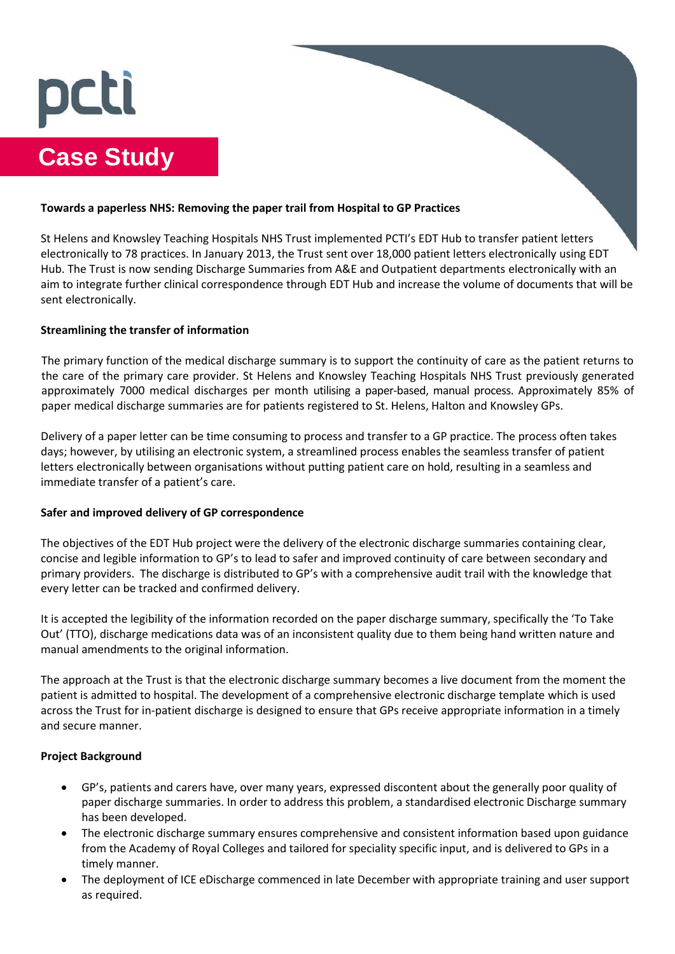# 

# **Case Study**

# **Towards a paperless NHS: Removing the paper trail from Hospital to GP Practices**

St Helens and Knowsley Teaching Hospitals NHS Trust implemented PCTI's EDT Hub to transfer patient letters electronically to 78 practices. In January 2013, the Trust sent over 18,000 patient letters electronically using EDT Hub. The Trust is now sending Discharge Summaries from A&E and Outpatient departments electronically with an aim to integrate further clinical correspondence through EDT Hub and increase the volume of documents that will be sent electronically.

#### **Streamlining the transfer of information**

The primary function of the medical discharge summary is to support the continuity of care as the patient returns to the care of the primary care provider. St Helens and Knowsley Teaching Hospitals NHS Trust previously generated approximately 7000 medical discharges per month utilising a paper-based, manual process. Approximately 85% of paper medical discharge summaries are for patients registered to St. Helens, Halton and Knowsley GPs.

Delivery of a paper letter can be time consuming to process and transfer to a GP practice. The process often takes days; however, by utilising an electronic system, a streamlined process enables the seamless transfer of patient letters electronically between organisations without putting patient care on hold, resulting in a seamless and immediate transfer of a patient's care.

# **Safer and improved delivery of GP correspondence**

The objectives of the EDT Hub project were the delivery of the electronic discharge summaries containing clear, concise and legible information to GP's to lead to safer and improved continuity of care between secondary and primary providers. The discharge is distributed to GP's with a comprehensive audit trail with the knowledge that every letter can be tracked and confirmed delivery.

It is accepted the legibility of the information recorded on the paper discharge summary, specifically the 'To Take Out' (TTO), discharge medications data was of an inconsistent quality due to them being hand written nature and manual amendments to the original information.

The approach at the Trust is that the electronic discharge summary becomes a live document from the moment the patient is admitted to hospital. The development of a comprehensive electronic discharge template which is used across the Trust for in-patient discharge is designed to ensure that GPs receive appropriate information in a timely and secure manner.

# **Project Background**

- GP's, patients and carers have, over many years, expressed discontent about the generally poor quality of paper discharge summaries. In order to address this problem, a standardised electronic Discharge summary has been developed.
- The electronic discharge summary ensures comprehensive and consistent information based upon guidance from the Academy of Royal Colleges and tailored for speciality specific input, and is delivered to GPs in a timely manner.
- The deployment of ICE eDischarge commenced in late December with appropriate training and user support as required.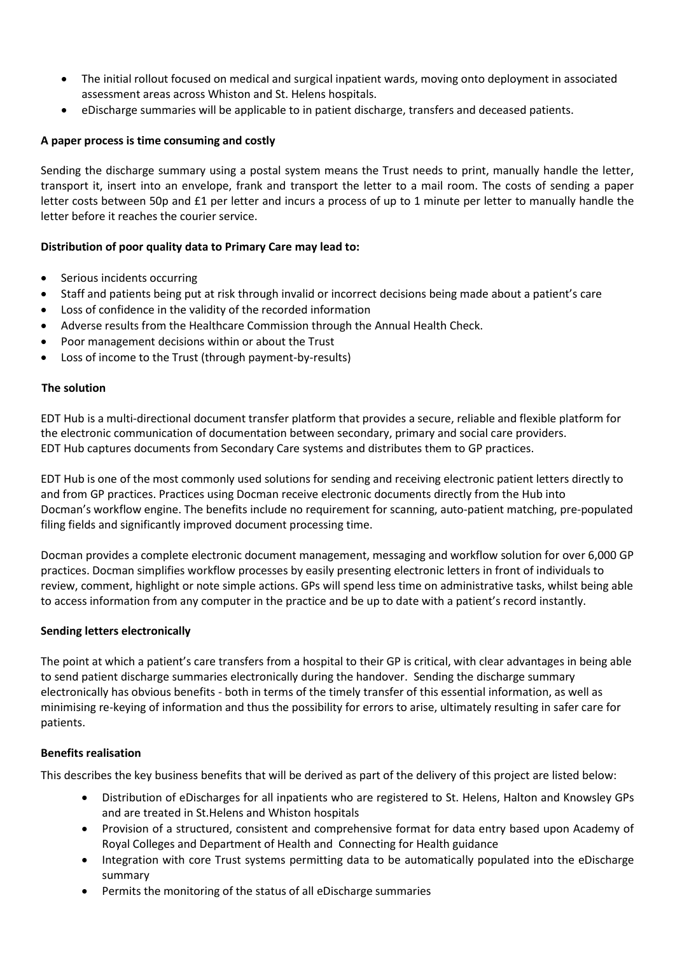- The initial rollout focused on medical and surgical inpatient wards, moving onto deployment in associated assessment areas across Whiston and St. Helens hospitals.
- eDischarge summaries will be applicable to in patient discharge, transfers and deceased patients.

#### **A paper process is time consuming and costly**

Sending the discharge summary using a postal system means the Trust needs to print, manually handle the letter, transport it, insert into an envelope, frank and transport the letter to a mail room. The costs of sending a paper letter costs between 50p and £1 per letter and incurs a process of up to 1 minute per letter to manually handle the letter before it reaches the courier service.

# **Distribution of poor quality data to Primary Care may lead to:**

- Serious incidents occurring
- Staff and patients being put at risk through invalid or incorrect decisions being made about a patient's care
- Loss of confidence in the validity of the recorded information
- Adverse results from the Healthcare Commission through the Annual Health Check.
- Poor management decisions within or about the Trust
- Loss of income to the Trust (through payment-by-results)

#### **The solution**

EDT Hub is a multi-directional document transfer platform that provides a secure, reliable and flexible platform for the electronic communication of documentation between secondary, primary and social care providers. EDT Hub captures documents from Secondary Care systems and distributes them to GP practices.

EDT Hub is one of the most commonly used solutions for sending and receiving electronic patient letters directly to and from GP practices. Practices using Docman receive electronic documents directly from the Hub into Docman's workflow engine. The benefits include no requirement for scanning, auto-patient matching, pre-populated filing fields and significantly improved document processing time.

Docman provides a complete electronic document management, messaging and workflow solution for over 6,000 GP practices. Docman simplifies workflow processes by easily presenting electronic letters in front of individuals to review, comment, highlight or note simple actions. GPs will spend less time on administrative tasks, whilst being able to access information from any computer in the practice and be up to date with a patient's record instantly.

#### **Sending letters electronically**

The point at which a patient's care transfers from a hospital to their GP is critical, with clear advantages in being able to send patient discharge summaries electronically during the handover. Sending the discharge summary electronically has obvious benefits - both in terms of the timely transfer of this essential information, as well as minimising re-keying of information and thus the possibility for errors to arise, ultimately resulting in safer care for patients.

#### **Benefits realisation**

This describes the key business benefits that will be derived as part of the delivery of this project are listed below:

- Distribution of eDischarges for all inpatients who are registered to St. Helens, Halton and Knowsley GPs and are treated in St.Helens and Whiston hospitals
- Provision of a structured, consistent and comprehensive format for data entry based upon Academy of Royal Colleges and Department of Health and Connecting for Health guidance
- Integration with core Trust systems permitting data to be automatically populated into the eDischarge summary
- Permits the monitoring of the status of all eDischarge summaries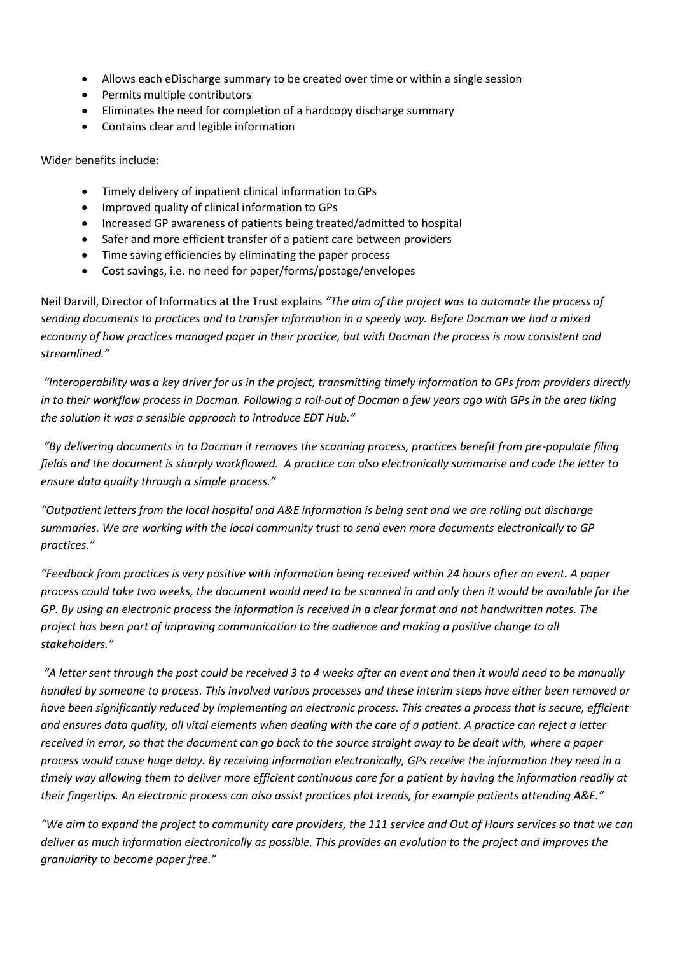- Allows each eDischarge summary to be created over time or within a single session
- Permits multiple contributors
- Eliminates the need for completion of a hardcopy discharge summary
- Contains clear and legible information

Wider benefits include:

- Timely delivery of inpatient clinical information to GPs
- Improved quality of clinical information to GPs
- Increased GP awareness of patients being treated/admitted to hospital
- Safer and more efficient transfer of a patient care between providers
- Time saving efficiencies by eliminating the paper process
- Cost savings, i.e. no need for paper/forms/postage/envelopes

Neil Darvill, Director of Informatics at the Trust explains *"The aim of the project was to automate the process of sending documents to practices and to transfer information in a speedy way. Before Docman we had a mixed economy of how practices managed paper in their practice, but with Docman the process is now consistent and streamlined."*

*"Interoperability was a key driver for us in the project, transmitting timely information to GPs from providers directly in to their workflow process in Docman. Following a roll-out of Docman a few years ago with GPs in the area liking the solution it was a sensible approach to introduce EDT Hub."*

*"By delivering documents in to Docman it removes the scanning process, practices benefit from pre-populate filing fields and the document is sharply workflowed. A practice can also electronically summarise and code the letter to ensure data quality through a simple process."* 

*"Outpatient letters from the local hospital and A&E information is being sent and we are rolling out discharge summaries. We are working with the local community trust to send even more documents electronically to GP practices."* 

*"Feedback from practices is very positive with information being received within 24 hours after an event. A paper process could take two weeks, the document would need to be scanned in and only then it would be available for the GP. By using an electronic process the information is received in a clear format and not handwritten notes. The project has been part of improving communication to the audience and making a positive change to all stakeholders."*

*"A letter sent through the post could be received 3 to 4 weeks after an event and then it would need to be manually handled by someone to process. This involved various processes and these interim steps have either been removed or have been significantly reduced by implementing an electronic process. This creates a process that is secure, efficient and ensures data quality, all vital elements when dealing with the care of a patient. A practice can reject a letter received in error, so that the document can go back to the source straight away to be dealt with, where a paper process would cause huge delay. By receiving information electronically, GPs receive the information they need in a timely way allowing them to deliver more efficient continuous care for a patient by having the information readily at their fingertips. An electronic process can also assist practices plot trends, for example patients attending A&E."*

*"We aim to expand the project to community care providers, the 111 service and Out of Hours services so that we can deliver as much information electronically as possible. This provides an evolution to the project and improves the granularity to become paper free."*